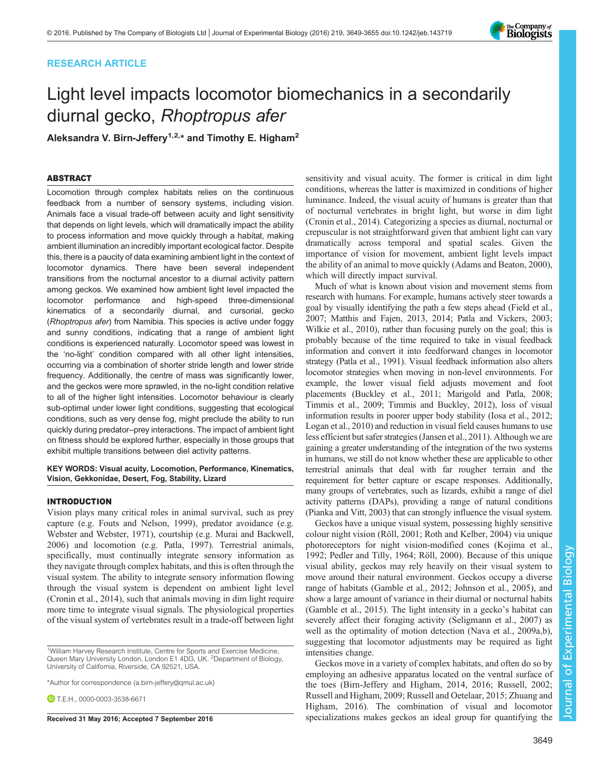## RESEARCH ARTICLE

# Light level impacts locomotor biomechanics in a secondarily diurnal gecko, Rhoptropus afer

Aleksandra V. Birn-Jeffery<sup>1,2,\*</sup> and Timothy E. Higham<sup>2</sup>

## ABSTRACT

Locomotion through complex habitats relies on the continuous feedback from a number of sensory systems, including vision. Animals face a visual trade-off between acuity and light sensitivity that depends on light levels, which will dramatically impact the ability to process information and move quickly through a habitat, making ambient illumination an incredibly important ecological factor. Despite this, there is a paucity of data examining ambient light in the context of locomotor dynamics. There have been several independent transitions from the nocturnal ancestor to a diurnal activity pattern among geckos. We examined how ambient light level impacted the locomotor performance and high-speed three-dimensional kinematics of a secondarily diurnal, and cursorial, gecko (Rhoptropus afer) from Namibia. This species is active under foggy and sunny conditions, indicating that a range of ambient light conditions is experienced naturally. Locomotor speed was lowest in the 'no-light' condition compared with all other light intensities, occurring via a combination of shorter stride length and lower stride frequency. Additionally, the centre of mass was significantly lower, and the geckos were more sprawled, in the no-light condition relative to all of the higher light intensities. Locomotor behaviour is clearly sub-optimal under lower light conditions, suggesting that ecological conditions, such as very dense fog, might preclude the ability to run quickly during predator–prey interactions. The impact of ambient light on fitness should be explored further, especially in those groups that exhibit multiple transitions between diel activity patterns.

KEY WORDS: Visual acuity, Locomotion, Performance, Kinematics, Vision, Gekkonidae, Desert, Fog, Stability, Lizard

## INTRODUCTION

Vision plays many critical roles in animal survival, such as prey capture (e.g. [Fouts and Nelson, 1999](#page-6-0)), predator avoidance (e.g. [Webster and Webster, 1971](#page-6-0)), courtship (e.g. [Murai and Backwell,](#page-6-0) [2006](#page-6-0)) and locomotion (e.g. [Patla, 1997\)](#page-6-0). Terrestrial animals, specifically, must continually integrate sensory information as they navigate through complex habitats, and this is often through the visual system. The ability to integrate sensory information flowing through the visual system is dependent on ambient light level [\(Cronin et al., 2014](#page-5-0)), such that animals moving in dim light require more time to integrate visual signals. The physiological properties of the visual system of vertebrates result in a trade-off between light

\*Author for correspondence [\(a.birn-jeffery@qmul.ac.uk\)](mailto:a.birn-jeffery@qmul.ac.uk)

 $D$  T.F.H., [0000-0003-3538-6671](http://orcid.org/0000-0003-3538-6671)

sensitivity and visual acuity. The former is critical in dim light conditions, whereas the latter is maximized in conditions of higher luminance. Indeed, the visual acuity of humans is greater than that of nocturnal vertebrates in bright light, but worse in dim light [\(Cronin et al., 2014](#page-5-0)). Categorizing a species as diurnal, nocturnal or crepuscular is not straightforward given that ambient light can vary dramatically across temporal and spatial scales. Given the importance of vision for movement, ambient light levels impact the ability of an animal to move quickly [\(Adams and Beaton, 2000\)](#page-5-0), which will directly impact survival.

Much of what is known about vision and movement stems from research with humans. For example, humans actively steer towards a goal by visually identifying the path a few steps ahead ([Field et al.,](#page-6-0) [2007; Matthis and Fajen, 2013](#page-6-0), [2014; Patla and Vickers, 2003](#page-6-0); [Wilkie et al., 2010](#page-6-0)), rather than focusing purely on the goal; this is probably because of the time required to take in visual feedback information and convert it into feedforward changes in locomotor strategy [\(Patla et al., 1991](#page-6-0)). Visual feedback information also alters locomotor strategies when moving in non-level environments. For example, the lower visual field adjusts movement and foot placements [\(Buckley et al., 2011;](#page-5-0) [Marigold and Patla, 2008](#page-6-0); [Timmis et al., 2009; Timmis and Buckley, 2012](#page-6-0)), loss of visual information results in poorer upper body stability [\(Iosa et al., 2012](#page-6-0); [Logan et al., 2010\)](#page-6-0) and reduction in visual field causes humans to use less efficient but safer strategies ([Jansen et al., 2011\)](#page-6-0). Although we are gaining a greater understanding of the integration of the two systems in humans, we still do not know whether these are applicable to other terrestrial animals that deal with far rougher terrain and the requirement for better capture or escape responses. Additionally, many groups of vertebrates, such as lizards, exhibit a range of diel activity patterns (DAPs), providing a range of natural conditions [\(Pianka and Vitt, 2003](#page-6-0)) that can strongly influence the visual system.

Geckos have a unique visual system, possessing highly sensitive colour night vision ([Röll, 2001](#page-6-0); [Roth and Kelber, 2004](#page-6-0)) via unique photoreceptors for night vision-modified cones ([Kojima et al.,](#page-6-0) [1992; Pedler and Tilly, 1964](#page-6-0); [Röll, 2000](#page-6-0)). Because of this unique visual ability, geckos may rely heavily on their visual system to move around their natural environment. Geckos occupy a diverse range of habitats ([Gamble et al., 2012](#page-6-0); [Johnson et al., 2005\)](#page-6-0), and show a large amount of variance in their diurnal or nocturnal habits [\(Gamble et al., 2015](#page-6-0)). The light intensity in a gecko's habitat can severely affect their foraging activity [\(Seligmann et al., 2007\)](#page-6-0) as well as the optimality of motion detection [\(Nava et al., 2009a](#page-6-0),[b\)](#page-6-0), suggesting that locomotor adjustments may be required as light intensities change.

Geckos move in a variety of complex habitats, and often do so by employing an adhesive apparatus located on the ventral surface of the toes ([Birn-Jeffery and Higham, 2014, 2016;](#page-5-0) [Russell, 2002](#page-6-0); [Russell and Higham, 2009; Russell and Oetelaar, 2015](#page-6-0); [Zhuang and](#page-6-0) [Higham, 2016](#page-6-0)). The combination of visual and locomotor Received 31 May 2016; Accepted 7 September 2016 specializations makes geckos an ideal group for quantifying the



Journal of Experimental Biology

Journal of

Experimental Biology

<sup>&</sup>lt;sup>1</sup>William Harvey Research Institute, Centre for Sports and Exercise Medicine, Queen Mary University London, London E1 4DG, UK. <sup>2</sup>Department of Biology, University of California, Riverside, CA 92521, USA.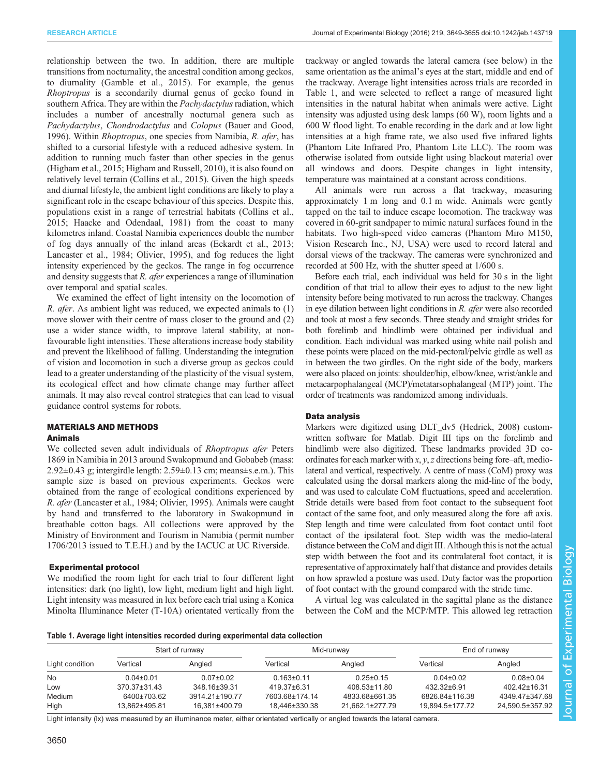relationship between the two. In addition, there are multiple transitions from nocturnality, the ancestral condition among geckos, to diurnality ([Gamble et al., 2015](#page-6-0)). For example, the genus Rhoptropus is a secondarily diurnal genus of gecko found in southern Africa. They are within the Pachydactylus radiation, which includes a number of ancestrally nocturnal genera such as Pachydactylus, Chondrodactylus and Colopus ([Bauer and Good,](#page-5-0) [1996](#page-5-0)). Within *Rhoptropus*, one species from Namibia, *R. afer*, has shifted to a cursorial lifestyle with a reduced adhesive system. In addition to running much faster than other species in the genus [\(Higham et al., 2015](#page-6-0); [Higham and Russell, 2010](#page-6-0)), it is also found on relatively level terrain ([Collins et al., 2015\)](#page-5-0). Given the high speeds and diurnal lifestyle, the ambient light conditions are likely to play a significant role in the escape behaviour of this species. Despite this, populations exist in a range of terrestrial habitats [\(Collins et al.,](#page-5-0) [2015](#page-5-0); [Haacke and Odendaal, 1981](#page-6-0)) from the coast to many kilometres inland. Coastal Namibia experiences double the number of fog days annually of the inland areas ([Eckardt et al., 2013](#page-6-0); [Lancaster et al., 1984](#page-6-0); [Olivier, 1995\)](#page-6-0), and fog reduces the light intensity experienced by the geckos. The range in fog occurrence and density suggests that R. afer experiences a range of illumination over temporal and spatial scales.

We examined the effect of light intensity on the locomotion of R. afer. As ambient light was reduced, we expected animals to (1) move slower with their centre of mass closer to the ground and (2) use a wider stance width, to improve lateral stability, at nonfavourable light intensities. These alterations increase body stability and prevent the likelihood of falling. Understanding the integration of vision and locomotion in such a diverse group as geckos could lead to a greater understanding of the plasticity of the visual system, its ecological effect and how climate change may further affect animals. It may also reveal control strategies that can lead to visual guidance control systems for robots.

# MATERIALS AND METHODS

## Animals

We collected seven adult individuals of *Rhoptropus afer* Peters 1869 in Namibia in 2013 around Swakopmund and Gobabeb (mass:  $2.92\pm0.43$  g; intergirdle length:  $2.59\pm0.13$  cm; means $\pm$ s.e.m.). This sample size is based on previous experiments. Geckos were obtained from the range of ecological conditions experienced by R. afer [\(Lancaster et al., 1984](#page-6-0); [Olivier, 1995](#page-6-0)). Animals were caught by hand and transferred to the laboratory in Swakopmund in breathable cotton bags. All collections were approved by the Ministry of Environment and Tourism in Namibia ( permit number 1706/2013 issued to T.E.H.) and by the IACUC at UC Riverside.

#### Experimental protocol

We modified the room light for each trial to four different light intensities: dark (no light), low light, medium light and high light. Light intensity was measured in lux before each trial using a Konica Minolta Illuminance Meter (T-10A) orientated vertically from the trackway or angled towards the lateral camera (see below) in the same orientation as the animal's eyes at the start, middle and end of the trackway. Average light intensities across trials are recorded in Table 1, and were selected to reflect a range of measured light intensities in the natural habitat when animals were active. Light intensity was adjusted using desk lamps (60 W), room lights and a 600 W flood light. To enable recording in the dark and at low light intensities at a high frame rate, we also used five infrared lights (Phantom Lite Infrared Pro, Phantom Lite LLC). The room was otherwise isolated from outside light using blackout material over all windows and doors. Despite changes in light intensity, temperature was maintained at a constant across conditions.

All animals were run across a flat trackway, measuring approximately 1 m long and 0.1 m wide. Animals were gently tapped on the tail to induce escape locomotion. The trackway was covered in 60-grit sandpaper to mimic natural surfaces found in the habitats. Two high-speed video cameras (Phantom Miro M150, Vision Research Inc., NJ, USA) were used to record lateral and dorsal views of the trackway. The cameras were synchronized and recorded at 500 Hz, with the shutter speed at 1/600 s.

Before each trial, each individual was held for 30 s in the light condition of that trial to allow their eyes to adjust to the new light intensity before being motivated to run across the trackway. Changes in eye dilation between light conditions in R. afer were also recorded and took at most a few seconds. Three steady and straight strides for both forelimb and hindlimb were obtained per individual and condition. Each individual was marked using white nail polish and these points were placed on the mid-pectoral/pelvic girdle as well as in between the two girdles. On the right side of the body, markers were also placed on joints: shoulder/hip, elbow/knee, wrist/ankle and metacarpophalangeal (MCP)/metatarsophalangeal (MTP) joint. The order of treatments was randomized among individuals.

#### Data analysis

Markers were digitized using DLT\_dv5 [\(Hedrick, 2008](#page-6-0)) customwritten software for Matlab. Digit III tips on the forelimb and hindlimb were also digitized. These landmarks provided 3D coordinates for each marker with x, y, z directions being fore–aft, mediolateral and vertical, respectively. A centre of mass (CoM) proxy was calculated using the dorsal markers along the mid-line of the body, and was used to calculate CoM fluctuations, speed and acceleration. Stride details were based from foot contact to the subsequent foot contact of the same foot, and only measured along the fore–aft axis. Step length and time were calculated from foot contact until foot contact of the ipsilateral foot. Step width was the medio-lateral distance between the CoM and digit III. Although this is not the actual step width between the foot and its contralateral foot contact, it is representative of approximately half that distance and provides details on how sprawled a posture was used. Duty factor was the proportion of foot contact with the ground compared with the stride time.

A virtual leg was calculated in the sagittal plane as the distance between the CoM and the MCP/MTP. This allowed leg retraction

#### Table 1. Average light intensities recorded during experimental data collection

| Light condition | Start of runway              |                                 |                                 | Mid-runway                        | End of runway                     |                                   |
|-----------------|------------------------------|---------------------------------|---------------------------------|-----------------------------------|-----------------------------------|-----------------------------------|
|                 | Vertical                     | Angled                          | Vertical                        | Angled                            | Vertical                          | Angled                            |
| No              | $0.04 \pm 0.01$              | $0.07 \pm 0.02$                 | $0.163 \pm 0.11$                | $0.25 \pm 0.15$                   | $0.04 \pm 0.02$                   | $0.08 + 0.04$                     |
| Low             | $370.37 \pm 31.43$           | 348.16±39.31                    | 419.37±6.31                     | $408.53 \pm 11.80$                | 432.32±6.91                       | 402.42±16.31                      |
| Medium<br>High  | 6400±703.62<br>13.862±495.81 | 3914.21±190.77<br>16.381±400.79 | 7603.68±174.14<br>18.446±330.38 | 4833.68±661.35<br>21.662.1±277.79 | 6826.84±116.38<br>19.894.5±177.72 | 4349.47±347.68<br>24.590.5±357.92 |

Light intensity (lx) was measured by an illuminance meter, either orientated vertically or angled towards the lateral camera.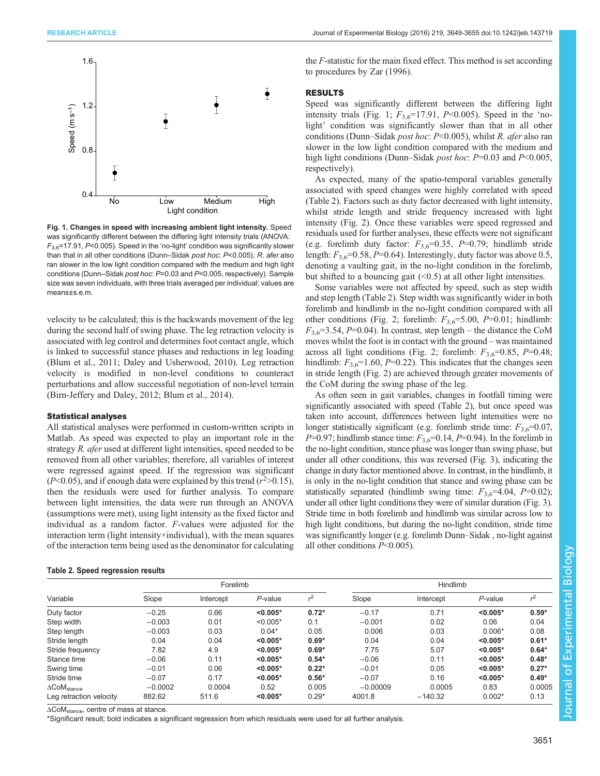<span id="page-2-0"></span>

Fig. 1. Changes in speed with increasing ambient light intensity. Speed was significantly different between the differing light intensity trials (ANOVA:  $F_{3.6}$ =17.91, P<0.005). Speed in the 'no-light' condition was significantly slower than that in all other conditions (Dunn–Sidak post hoc: P<0.005); R. afer also ran slower in the low light condition compared with the medium and high light conditions (Dunn–Sidak post hoc: P=0.03 and P<0.005, respectively). Sample size was seven individuals, with three trials averaged per individual; values are means±s.e.m.

velocity to be calculated; this is the backwards movement of the leg during the second half of swing phase. The leg retraction velocity is associated with leg control and determines foot contact angle, which is linked to successful stance phases and reductions in leg loading [\(Blum et al., 2011; Daley and Usherwood, 2010](#page-5-0)). Leg retraction velocity is modified in non-level conditions to counteract perturbations and allow successful negotiation of non-level terrain [\(Birn-Jeffery and Daley, 2012; Blum et al., 2014](#page-5-0)).

#### Statistical analyses

All statistical analyses were performed in custom-written scripts in Matlab. As speed was expected to play an important role in the strategy R. afer used at different light intensities, speed needed to be removed from all other variables; therefore, all variables of interest were regressed against speed. If the regression was significant  $(P<0.05)$ , and if enough data were explained by this trend  $(r^2>0.15)$ , then the residuals were used for further analysis. To compare between light intensities, the data were run through an ANOVA (assumptions were met), using light intensity as the fixed factor and individual as a random factor. F-values were adjusted for the interaction term (light intensity×individual), with the mean squares of the interaction term being used as the denominator for calculating

### Table 2. Speed regression results

the F-statistic for the main fixed effect. This method is set according to procedures by [Zar \(1996\).](#page-6-0)

## RESULTS

Speed was significantly different between the differing light intensity trials (Fig. 1;  $F_{3.6}$ =17.91, P<0.005). Speed in the 'nolight' condition was significantly slower than that in all other conditions (Dunn–Sidak post hoc: P<0.005), whilst R. afer also ran slower in the low light condition compared with the medium and high light conditions (Dunn–Sidak *post hoc*:  $P=0.03$  and  $P<0.005$ , respectively).

As expected, many of the spatio-temporal variables generally associated with speed changes were highly correlated with speed (Table 2). Factors such as duty factor decreased with light intensity, whilst stride length and stride frequency increased with light intensity ([Fig. 2\)](#page-3-0). Once these variables were speed regressed and residuals used for further analyses, these effects were not significant (e.g. forelimb duty factor:  $F_{3,6}=0.35$ ,  $P=0.79$ ; hindlimb stride length:  $F_{3,6}$ =0.58, P=0.64). Interestingly, duty factor was above 0.5, denoting a vaulting gait, in the no-light condition in the forelimb, but shifted to a bouncing gait  $(\leq 0.5)$  at all other light intensities.

Some variables were not affected by speed, such as step width and step length (Table 2). Step width was significantly wider in both forelimb and hindlimb in the no-light condition compared with all other conditions [\(Fig. 2](#page-3-0); forelimb:  $F_{3,6} = 5.00$ ,  $P = 0.01$ ; hindlimb:  $F_{3,6}=3.54, P=0.04$ ). In contrast, step length – the distance the CoM moves whilst the foot is in contact with the ground – was maintained across all light conditions ([Fig. 2;](#page-3-0) forelimb:  $F_{3,6}=0.85$ ,  $P=0.48$ ; hindlimb:  $F_{3,6}$ =1.60, P=0.22). This indicates that the changes seen in stride length ([Fig. 2](#page-3-0)) are achieved through greater movements of the CoM during the swing phase of the leg.

As often seen in gait variables, changes in footfall timing were significantly associated with speed (Table 2), but once speed was taken into account, differences between light intensities were no longer statistically significant (e.g. forelimb stride time:  $F_{3,6}=0.07$ ,  $P=0.97$ ; hindlimb stance time:  $F_{3,6}=0.14$ ,  $P=0.94$ ). In the forelimb in the no-light condition, stance phase was longer than swing phase, but under all other conditions, this was reversed ([Fig. 3](#page-4-0)), indicating the change in duty factor mentioned above. In contrast, in the hindlimb, it is only in the no-light condition that stance and swing phase can be statistically separated (hindlimb swing time:  $F_{3,6}$ =4.04, P=0.02); under all other light conditions they were of similar duration [\(Fig. 3\)](#page-4-0). Stride time in both forelimb and hindlimb was similar across low to high light conditions, but during the no-light condition, stride time was significantly longer (e.g. forelimb Dunn–Sidak , no-light against all other conditions P<0.005).

|                                       | Forelimb  |           |            |         | Hindlimb   |           |            |                |
|---------------------------------------|-----------|-----------|------------|---------|------------|-----------|------------|----------------|
| Variable                              | Slope     | Intercept | P-value    | $r^2$   | Slope      | Intercept | $P$ -value | r <sup>2</sup> |
| Duty factor                           | $-0.25$   | 0.66      | $< 0.005*$ | $0.72*$ | $-0.17$    | 0.71      | $< 0.005*$ | $0.59*$        |
| Step width                            | $-0.003$  | 0.01      | $< 0.005*$ | 0.1     | $-0.001$   | 0.02      | 0.06       | 0.04           |
| Step length                           | $-0.003$  | 0.03      | $0.04*$    | 0.05    | 0.006      | 0.03      | $0.006*$   | 0.08           |
| Stride length                         | 0.04      | 0.04      | $< 0.005*$ | $0.69*$ | 0.04       | 0.04      | $< 0.005*$ | $0.61*$        |
| Stride frequency                      | 7.82      | 4.9       | $< 0.005*$ | $0.69*$ | 7.75       | 5.07      | $< 0.005*$ | $0.64*$        |
| Stance time                           | $-0.06$   | 0.11      | $< 0.005*$ | $0.54*$ | $-0.06$    | 0.11      | $< 0.005*$ | $0.48*$        |
| Swing time                            | $-0.01$   | 0.06      | $< 0.005*$ | $0.22*$ | $-0.01$    | 0.05      | $< 0.005*$ | $0.27*$        |
| Stride time                           | $-0.07$   | 0.17      | $< 0.005*$ | $0.56*$ | $-0.07$    | 0.16      | $< 0.005*$ | $0.49*$        |
| $\Delta \textsf{CoM}_\textsf{stance}$ | $-0.0002$ | 0.0004    | 0.52       | 0.005   | $-0.00009$ | 0.0005    | 0.83       | 0.0005         |
| Leg retraction velocity               | 882.62    | 511.6     | $< 0.005*$ | $0.29*$ | 4001.8     | $-140.32$ | $0.002*$   | 0.13           |

ΔCoMstance, centre of mass at stance.

\*Significant result; bold indicates a significant regression from which residuals were used for all further analysis.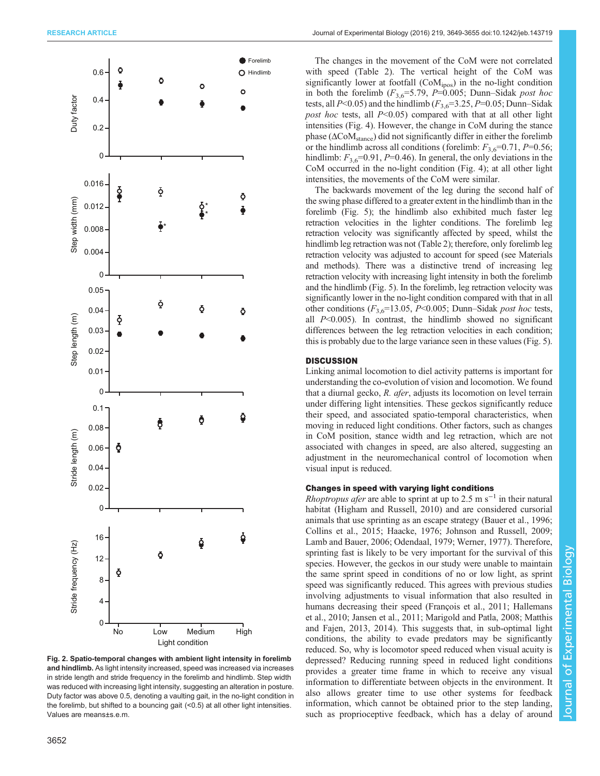<span id="page-3-0"></span>

Fig. 2. Spatio-temporal changes with ambient light intensity in forelimb and hindlimb. As light intensity increased, speed was increased via increases in stride length and stride frequency in the forelimb and hindlimb. Step width was reduced with increasing light intensity, suggesting an alteration in posture. Duty factor was above 0.5, denoting a vaulting gait, in the no-light condition in the forelimb, but shifted to a bouncing gait (<0.5) at all other light intensities. Values are means±s.e.m.

The changes in the movement of the CoM were not correlated with speed [\(Table 2](#page-2-0)). The vertical height of the CoM was significantly lower at footfall (CoM<sub>ipos</sub>) in the no-light condition in both the forelimb  $(F_{3,6}=5.79, P=0.005;$  Dunn–Sidak post hoc tests, all  $P<0.05$ ) and the hindlimb ( $F_{3,6}=3.25, P=0.05$ ; Dunn–Sidak post hoc tests, all  $P<0.05$ ) compared with that at all other light intensities ([Fig. 4\)](#page-4-0). However, the change in CoM during the stance phase ( $\Delta$ CoM<sub>stance</sub>) did not significantly differ in either the forelimb or the hindlimb across all conditions (forelimb:  $F_{3,6}$ =0.71, P=0.56; hindlimb:  $F_{3,6}$ =0.91, P=0.46). In general, the only deviations in the CoM occurred in the no-light condition [\(Fig. 4](#page-4-0)); at all other light intensities, the movements of the CoM were similar.

The backwards movement of the leg during the second half of the swing phase differed to a greater extent in the hindlimb than in the forelimb ([Fig. 5](#page-5-0)); the hindlimb also exhibited much faster leg retraction velocities in the lighter conditions. The forelimb leg retraction velocity was significantly affected by speed, whilst the hindlimb leg retraction was not ([Table 2](#page-2-0)); therefore, only forelimb leg retraction velocity was adjusted to account for speed (see Materials and methods). There was a distinctive trend of increasing leg retraction velocity with increasing light intensity in both the forelimb and the hindlimb ([Fig. 5](#page-5-0)). In the forelimb, leg retraction velocity was significantly lower in the no-light condition compared with that in all other conditions ( $F_{3,6}$ =13.05, P<0.005; Dunn–Sidak post hoc tests, all  $P<0.005$ ). In contrast, the hindlimb showed no significant differences between the leg retraction velocities in each condition; this is probably due to the large variance seen in these values [\(Fig. 5\)](#page-5-0).

## **DISCUSSION**

Linking animal locomotion to diel activity patterns is important for understanding the co-evolution of vision and locomotion. We found that a diurnal gecko, R. afer, adjusts its locomotion on level terrain under differing light intensities. These geckos significantly reduce their speed, and associated spatio-temporal characteristics, when moving in reduced light conditions. Other factors, such as changes in CoM position, stance width and leg retraction, which are not associated with changes in speed, are also altered, suggesting an adjustment in the neuromechanical control of locomotion when visual input is reduced.

#### Changes in speed with varying light conditions

*Rhoptropus afer* are able to sprint at up to 2.5 m s<sup>-1</sup> in their natural habitat [\(Higham and Russell, 2010](#page-6-0)) and are considered cursorial animals that use sprinting as an escape strategy ([Bauer et al., 1996](#page-5-0); [Collins et al., 2015;](#page-5-0) [Haacke, 1976; Johnson and Russell, 2009](#page-6-0); [Lamb and Bauer, 2006; Odendaal, 1979; Werner, 1977\)](#page-6-0). Therefore, sprinting fast is likely to be very important for the survival of this species. However, the geckos in our study were unable to maintain the same sprint speed in conditions of no or low light, as sprint speed was significantly reduced. This agrees with previous studies involving adjustments to visual information that also resulted in humans decreasing their speed [\(François et al., 2011; Hallemans](#page-6-0) [et al., 2010](#page-6-0); [Jansen et al., 2011](#page-6-0); [Marigold and Patla, 2008](#page-6-0); [Matthis](#page-6-0) [and Fajen, 2013, 2014\)](#page-6-0). This suggests that, in sub-optimal light conditions, the ability to evade predators may be significantly reduced. So, why is locomotor speed reduced when visual acuity is depressed? Reducing running speed in reduced light conditions provides a greater time frame in which to receive any visual information to differentiate between objects in the environment. It also allows greater time to use other systems for feedback information, which cannot be obtained prior to the step landing, such as proprioceptive feedback, which has a delay of around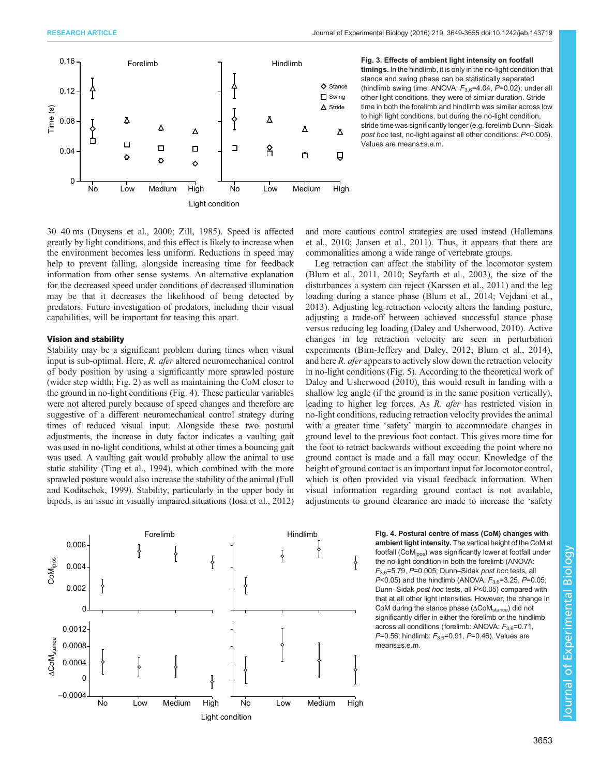<span id="page-4-0"></span>

Hindlimb Fig. 3. Effects of ambient light intensity on footfall timings. In the hindlimb, it is only in the no-light condition that stance and swing phase can be statistically separated (hindlimb swing time: ANOVA:  $F_{3.6}$ =4.04,  $P$ =0.02); under all other light conditions, they were of similar duration. Stride time in both the forelimb and hindlimb was similar across low to high light conditions, but during the no-light condition, stride time was significantly longer (e.g. forelimb Dunn–Sidak post hoc test, no-light against all other conditions: P<0.005). Values are means±s.e.m.

30–40 ms ([Duysens et al., 2000;](#page-5-0) [Zill, 1985\)](#page-6-0). Speed is affected greatly by light conditions, and this effect is likely to increase when the environment becomes less uniform. Reductions in speed may help to prevent falling, alongside increasing time for feedback information from other sense systems. An alternative explanation for the decreased speed under conditions of decreased illumination may be that it decreases the likelihood of being detected by predators. Future investigation of predators, including their visual capabilities, will be important for teasing this apart.

#### Vision and stability

Stability may be a significant problem during times when visual input is sub-optimal. Here, R. afer altered neuromechanical control of body position by using a significantly more sprawled posture (wider step width; [Fig. 2\)](#page-3-0) as well as maintaining the CoM closer to the ground in no-light conditions (Fig. 4). These particular variables were not altered purely because of speed changes and therefore are suggestive of a different neuromechanical control strategy during times of reduced visual input. Alongside these two postural adjustments, the increase in duty factor indicates a vaulting gait was used in no-light conditions, whilst at other times a bouncing gait was used. A vaulting gait would probably allow the animal to use static stability [\(Ting et al., 1994\)](#page-6-0), which combined with the more sprawled posture would also increase the stability of the animal [\(Full](#page-6-0) [and Koditschek, 1999](#page-6-0)). Stability, particularly in the upper body in bipeds, is an issue in visually impaired situations ([Iosa et al., 2012\)](#page-6-0)



and more cautious control strategies are used instead ([Hallemans](#page-6-0) [et al., 2010; Jansen et al., 2011](#page-6-0)). Thus, it appears that there are commonalities among a wide range of vertebrate groups.

Leg retraction can affect the stability of the locomotor system [\(Blum et al., 2011](#page-5-0), [2010](#page-5-0); [Seyfarth et al., 2003](#page-6-0)), the size of the disturbances a system can reject ([Karssen et al., 2011\)](#page-6-0) and the leg loading during a stance phase [\(Blum et al., 2014](#page-5-0); [Vejdani et al.,](#page-6-0) [2013\)](#page-6-0). Adjusting leg retraction velocity alters the landing posture, adjusting a trade-off between achieved successful stance phase versus reducing leg loading [\(Daley and Usherwood, 2010\)](#page-5-0). Active changes in leg retraction velocity are seen in perturbation experiments [\(Birn-Jeffery and Daley, 2012; Blum et al., 2014\)](#page-5-0), and here R. *afer* appears to actively slow down the retraction velocity in no-light conditions [\(Fig. 5](#page-5-0)). According to the theoretical work of [Daley and Usherwood \(2010\),](#page-5-0) this would result in landing with a shallow leg angle (if the ground is in the same position vertically), leading to higher leg forces. As R. afer has restricted vision in no-light conditions, reducing retraction velocity provides the animal with a greater time 'safety' margin to accommodate changes in ground level to the previous foot contact. This gives more time for the foot to retract backwards without exceeding the point where no ground contact is made and a fall may occur. Knowledge of the height of ground contact is an important input for locomotor control, which is often provided via visual feedback information. When visual information regarding ground contact is not available, adjustments to ground clearance are made to increase the 'safety

> Fig. 4. Postural centre of mass (CoM) changes with ambient light intensity. The vertical height of the CoM at footfall (CoM<sub>ipos</sub>) was significantly lower at footfall under the no-light condition in both the forelimb (ANOVA:  $F_{3,6}$ =5.79, P=0.005; Dunn–Sidak post hoc tests, all  $P<0.05$ ) and the hindlimb (ANOVA:  $F_{3,6}=3.25$ ,  $P=0.05$ ; Dunn–Sidak post hoc tests, all P<0.05) compared with that at all other light intensities. However, the change in CoM during the stance phase (ΔCoMstance) did not significantly differ in either the forelimb or the hindlimb across all conditions (forelimb: ANOVA:  $F_{3,6}$ =0.71, P=0.56; hindlimb:  $F_{3,6}$ =0.91, P=0.46). Values are means±s.e.m.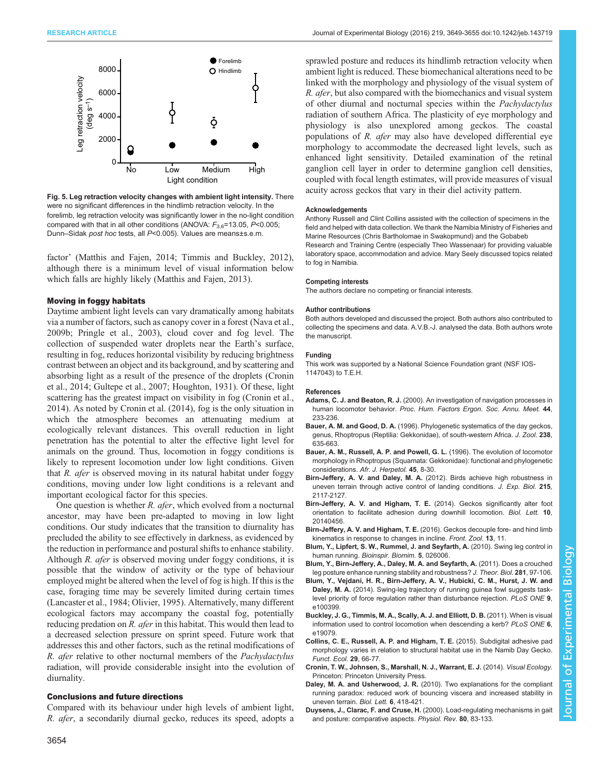<span id="page-5-0"></span>

Fig. 5. Leg retraction velocity changes with ambient light intensity. There were no significant differences in the hindlimb retraction velocity. In the forelimb, leg retraction velocity was significantly lower in the no-light condition compared with that in all other conditions (ANOVA:  $F_{3,6}$ =13.05, P<0.005; Dunn–Sidak post hoc tests, all P<0.005). Values are means±s.e.m.

factor' [\(Matthis and Fajen, 2014](#page-6-0); [Timmis and Buckley, 2012\)](#page-6-0), although there is a minimum level of visual information below which falls are highly likely [\(Matthis and Fajen, 2013](#page-6-0)).

## Moving in foggy habitats

Daytime ambient light levels can vary dramatically among habitats via a number of factors, such as canopy cover in a forest [\(Nava et al.,](#page-6-0) [2009b; Pringle et al., 2003\)](#page-6-0), cloud cover and fog level. The collection of suspended water droplets near the Earth's surface, resulting in fog, reduces horizontal visibility by reducing brightness contrast between an object and its background, and by scattering and absorbing light as a result of the presence of the droplets (Cronin et al., 2014; [Gultepe et al., 2007; Houghton, 1931\)](#page-6-0). Of these, light scattering has the greatest impact on visibility in fog (Cronin et al., 2014). As noted by Cronin et al. (2014), fog is the only situation in which the atmosphere becomes an attenuating medium at ecologically relevant distances. This overall reduction in light penetration has the potential to alter the effective light level for animals on the ground. Thus, locomotion in foggy conditions is likely to represent locomotion under low light conditions. Given that R. afer is observed moving in its natural habitat under foggy conditions, moving under low light conditions is a relevant and important ecological factor for this species.

One question is whether R. afer, which evolved from a nocturnal ancestor, may have been pre-adapted to moving in low light conditions. Our study indicates that the transition to diurnality has precluded the ability to see effectively in darkness, as evidenced by the reduction in performance and postural shifts to enhance stability. Although  $R$ . *afer* is observed moving under foggy conditions, it is possible that the window of activity or the type of behaviour employed might be altered when the level of fog is high. If this is the case, foraging time may be severely limited during certain times [\(Lancaster et al., 1984](#page-6-0); [Olivier, 1995](#page-6-0)). Alternatively, many different ecological factors may accompany the coastal fog, potentially reducing predation on R. afer in this habitat. This would then lead to a decreased selection pressure on sprint speed. Future work that addresses this and other factors, such as the retinal modifications of R. afer relative to other nocturnal members of the Pachydactylus radiation, will provide considerable insight into the evolution of diurnality.

#### Conclusions and future directions

Compared with its behaviour under high levels of ambient light, R. afer, a secondarily diurnal gecko, reduces its speed, adopts a

sprawled posture and reduces its hindlimb retraction velocity when ambient light is reduced. These biomechanical alterations need to be linked with the morphology and physiology of the visual system of R. afer, but also compared with the biomechanics and visual system of other diurnal and nocturnal species within the Pachydactylus radiation of southern Africa. The plasticity of eye morphology and physiology is also unexplored among geckos. The coastal populations of R. afer may also have developed differential eye morphology to accommodate the decreased light levels, such as enhanced light sensitivity. Detailed examination of the retinal ganglion cell layer in order to determine ganglion cell densities, coupled with focal length estimates, will provide measures of visual acuity across geckos that vary in their diel activity pattern.

#### Acknowledgements

Anthony Russell and Clint Collins assisted with the collection of specimens in the field and helped with data collection. We thank the Namibia Ministry of Fisheries and Marine Resources (Chris Bartholomae in Swakopmund) and the Gobabeb Research and Training Centre (especially Theo Wassenaar) for providing valuable laboratory space, accommodation and advice. Mary Seely discussed topics related to fog in Namibia.

#### Competing interests

The authors declare no competing or financial interests.

#### Author contributions

Both authors developed and discussed the project. Both authors also contributed to collecting the specimens and data. A.V.B.-J. analysed the data. Both authors wrote the manuscript.

#### Funding

This work was supported by a National Science Foundation grant (NSF IOS-1147043) to T.E.H.

#### References

- Adams, C. J. and Beaton, R. J. [\(2000\). An investigation of navigation processes in](http://dx.doi.org/10.1177/154193120004402625) human locomotor behavior. [Proc. Hum. Factors Ergon. Soc. Annu. Meet.](http://dx.doi.org/10.1177/154193120004402625) 44, [233-236.](http://dx.doi.org/10.1177/154193120004402625)
- Bauer, A. M. and Good, D. A. [\(1996\). Phylogenetic systematics of the day geckos,](http://dx.doi.org/10.1111/j.1469-7998.1996.tb05420.x) [genus, Rhoptropus \(Reptilia: Gekkonidae\), of south-western Africa.](http://dx.doi.org/10.1111/j.1469-7998.1996.tb05420.x) J. Zool. 238, [635-663.](http://dx.doi.org/10.1111/j.1469-7998.1996.tb05420.x)
- [Bauer, A. M., Russell, A. P. and Powell, G. L.](http://dx.doi.org/10.1080/21564574.1996.9649959) (1996). The evolution of locomotor [morphology in Rhoptropus \(Squamata: Gekkonidae\): functional and phylogenetic](http://dx.doi.org/10.1080/21564574.1996.9649959) considerations. [Afr. J. Herpetol.](http://dx.doi.org/10.1080/21564574.1996.9649959) 45, 8-30.
- Birn-Jeffery, A. V. and Daley, M. A. [\(2012\). Birds achieve high robustness in](http://dx.doi.org/10.1242/jeb.065557) [uneven terrain through active control of landing conditions.](http://dx.doi.org/10.1242/jeb.065557) J. Exp. Biol. 215, [2117-2127.](http://dx.doi.org/10.1242/jeb.065557)
- [Birn-Jeffery, A. V. and Higham, T. E.](http://dx.doi.org/10.1098/rsbl.2014.0456) (2014). Geckos significantly alter foot [orientation to facilitate adhesion during downhill locomotion.](http://dx.doi.org/10.1098/rsbl.2014.0456) Biol. Lett. 10, [20140456.](http://dx.doi.org/10.1098/rsbl.2014.0456)
- Birn-Jeffery, A. V. and Higham, T. E. [\(2016\). Geckos decouple fore- and hind limb](http://dx.doi.org/10.1186/s12983-016-0144-2) [kinematics in response to changes in incline.](http://dx.doi.org/10.1186/s12983-016-0144-2) Front. Zool. 13, 11.
- [Blum, Y., Lipfert, S. W., Rummel, J. and Seyfarth, A.](http://dx.doi.org/10.1088/1748-3182/5/2/026006) (2010). Swing leg control in human running. [Bioinspir. Biomim.](http://dx.doi.org/10.1088/1748-3182/5/2/026006) 5, 026006.
- [Blum, Y., Birn-Jeffery, A., Daley, M. A. and Seyfarth, A.](http://dx.doi.org/10.1016/j.jtbi.2011.04.029) (2011). Does a crouched [leg posture enhance running stability and robustness?](http://dx.doi.org/10.1016/j.jtbi.2011.04.029) J. Theor. Biol. 281, 97-106.
- [Blum, Y., Vejdani, H. R., Birn-Jeffery, A. V., Hubicki, C. M., Hurst, J. W. and](http://dx.doi.org/10.1371/journal.pone.0100399) Daley, M. A. [\(2014\). Swing-leg trajectory of running guinea fowl suggests task](http://dx.doi.org/10.1371/journal.pone.0100399)[level priority of force regulation rather than disturbance rejection.](http://dx.doi.org/10.1371/journal.pone.0100399) PLoS ONE 9, [e100399.](http://dx.doi.org/10.1371/journal.pone.0100399)
- [Buckley, J. G., Timmis, M. A., Scally, A. J. and Elliott, D. B.](http://dx.doi.org/10.1371/journal.pone.0019079) (2011). When is visual [information used to control locomotion when descending a kerb?](http://dx.doi.org/10.1371/journal.pone.0019079) PLoS ONE 6 [e19079.](http://dx.doi.org/10.1371/journal.pone.0019079)
- [Collins, C. E., Russell, A. P. and Higham, T. E.](http://dx.doi.org/10.1111/1365-2435.12312) (2015). Subdigital adhesive pad [morphology varies in relation to structural habitat use in the Namib Day Gecko.](http://dx.doi.org/10.1111/1365-2435.12312) [Funct. Ecol.](http://dx.doi.org/10.1111/1365-2435.12312) 29, 66-77.
- Cronin, T. W., Johnsen, S., Marshall, N. J., Warrant, E. J. (2014). Visual Ecology. Princeton: Princeton University Press.
- Daley, M. A. and Usherwood, J. R. [\(2010\). Two explanations for the compliant](http://dx.doi.org/10.1098/rsbl.2010.0175) [running paradox: reduced work of bouncing viscera and increased stability in](http://dx.doi.org/10.1098/rsbl.2010.0175) [uneven terrain.](http://dx.doi.org/10.1098/rsbl.2010.0175) Biol. Lett. 6, 418-421.
- Duysens, J., Clarac, F. and Cruse, H. (2000). Load-regulating mechanisms in gait and posture: comparative aspects. Physiol. Rev. 80, 83-133.